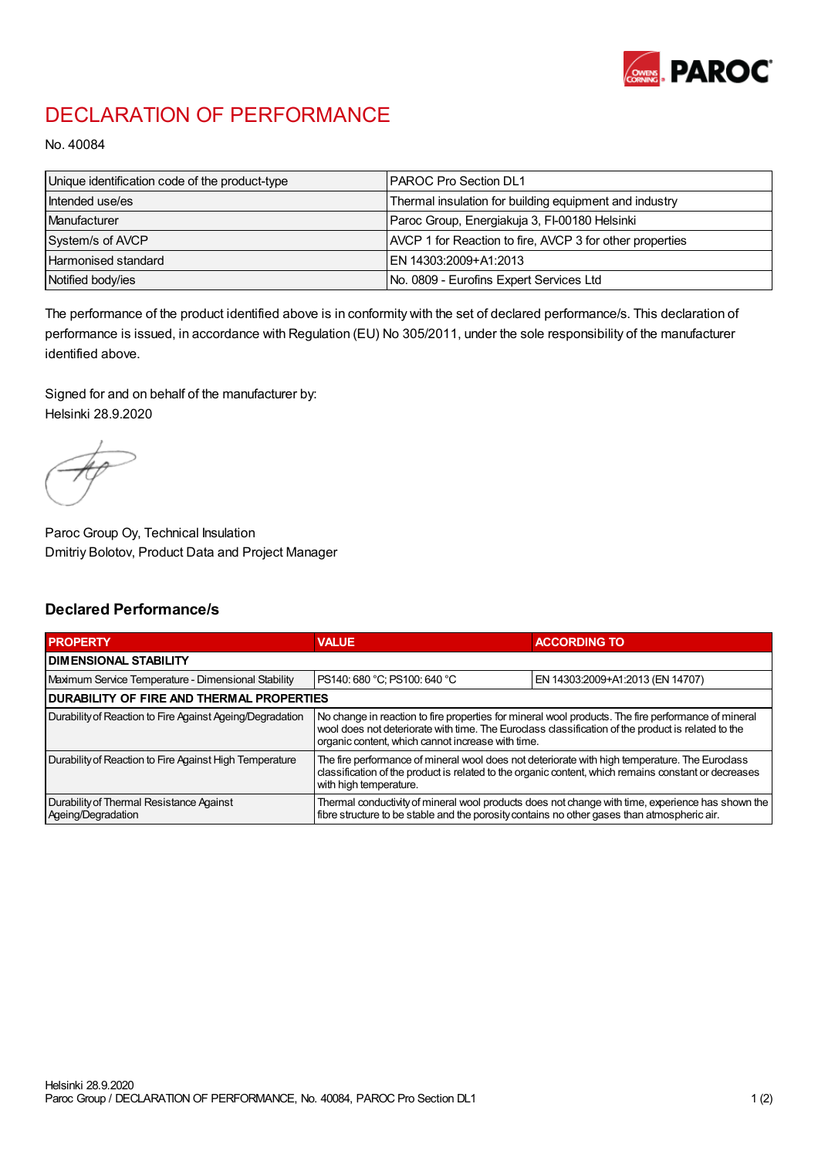

## DECLARATION OF PERFORMANCE

No. 40084

| Unique identification code of the product-type | <b>IPAROC Pro Section DL1</b>                            |
|------------------------------------------------|----------------------------------------------------------|
| Intended use/es                                | Thermal insulation for building equipment and industry   |
| Manufacturer                                   | Paroc Group, Energiakuja 3, FI-00180 Helsinki            |
| System/s of AVCP                               | AVCP 1 for Reaction to fire, AVCP 3 for other properties |
| Harmonised standard                            | IEN 14303:2009+A1:2013                                   |
| Notified body/ies                              | No. 0809 - Eurofins Expert Services Ltd                  |

The performance of the product identified above is in conformity with the set of declared performance/s. This declaration of performance is issued, in accordance with Regulation (EU) No 305/2011, under the sole responsibility of the manufacturer identified above.

Signed for and on behalf of the manufacturer by: Helsinki 28.9.2020

Paroc Group Oy, Technical Insulation Dmitriy Bolotov, Product Data and Project Manager

## Declared Performance/s

| <b>PROPERTY</b>                                                | <b>VALUE</b>                                                                                                                                                                                                                                                   | <b>ACCORDING TO</b>              |  |  |
|----------------------------------------------------------------|----------------------------------------------------------------------------------------------------------------------------------------------------------------------------------------------------------------------------------------------------------------|----------------------------------|--|--|
| <b>DIMENSIONAL STABILITY</b>                                   |                                                                                                                                                                                                                                                                |                                  |  |  |
| Maximum Service Temperature - Dimensional Stability            | PS140: 680 °C; PS100: 640 °C                                                                                                                                                                                                                                   | EN 14303:2009+A1:2013 (EN 14707) |  |  |
| <b>DURABILITY OF FIRE AND THERMAL PROPERTIES</b>               |                                                                                                                                                                                                                                                                |                                  |  |  |
| Durability of Reaction to Fire Against Ageing/Degradation      | No change in reaction to fire properties for mineral wool products. The fire performance of mineral<br>wool does not deteriorate with time. The Euroclass classification of the product is related to the<br>organic content, which cannot increase with time. |                                  |  |  |
| Durability of Reaction to Fire Against High Temperature        | The fire performance of mineral wool does not deteriorate with high temperature. The Euroclass<br>classification of the product is related to the organic content, which remains constant or decreases<br>with high temperature.                               |                                  |  |  |
| Durability of Thermal Resistance Against<br>Ageing/Degradation | Thermal conductivity of mineral wool products does not change with time, experience has shown the<br>fibre structure to be stable and the porosity contains no other gases than atmospheric air.                                                               |                                  |  |  |